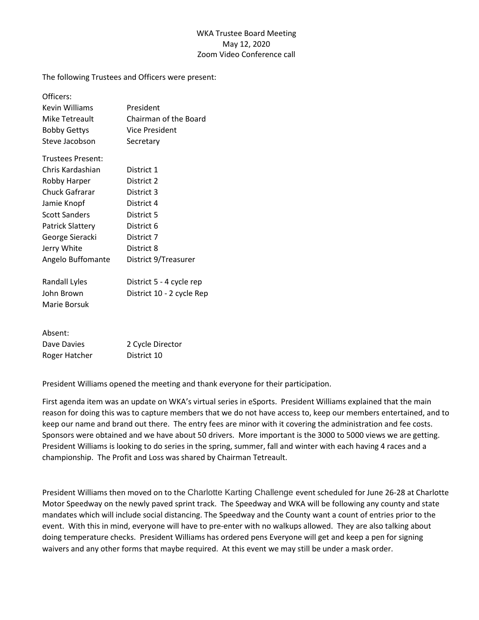## WKA Trustee Board Meeting May 12, 2020 Zoom Video Conference call

The following Trustees and Officers were present:

| Officers:               |                           |
|-------------------------|---------------------------|
| Kevin Williams          | President                 |
| Mike Tetreault          | Chairman of the Board     |
| <b>Bobby Gettys</b>     | Vice President            |
| Steve Jacobson          | Secretary                 |
| Trustees Present:       |                           |
| Chris Kardashian        | District 1                |
| Robby Harper            | District 2                |
| Chuck Gafrarar          | District 3                |
| Jamie Knopf             | District 4                |
| <b>Scott Sanders</b>    | District 5                |
| <b>Patrick Slattery</b> | District 6                |
| George Sieracki         | District 7                |
| Jerry White             | District 8                |
| Angelo Buffomante       | District 9/Treasurer      |
| Randall Lyles           | District 5 - 4 cycle rep  |
| John Brown              | District 10 - 2 cycle Rep |
| Marie Borsuk            |                           |
|                         |                           |
| Absent:                 |                           |

| Dave Davies   | 2 Cycle Director |
|---------------|------------------|
| Roger Hatcher | District 10      |

President Williams opened the meeting and thank everyone for their participation.

First agenda item was an update on WKA's virtual series in eSports. President Williams explained that the main reason for doing this was to capture members that we do not have access to, keep our members entertained, and to keep our name and brand out there. The entry fees are minor with it covering the administration and fee costs. Sponsors were obtained and we have about 50 drivers. More important is the 3000 to 5000 views we are getting. President Williams is looking to do series in the spring, summer, fall and winter with each having 4 races and a championship. The Profit and Loss was shared by Chairman Tetreault.

President Williams then moved on to the Charlotte Karting Challenge event scheduled for June 26-28 at Charlotte Motor Speedway on the newly paved sprint track. The Speedway and WKA will be following any county and state mandates which will include social distancing. The Speedway and the County want a count of entries prior to the event. With this in mind, everyone will have to pre-enter with no walkups allowed. They are also talking about doing temperature checks. President Williams has ordered pens Everyone will get and keep a pen for signing waivers and any other forms that maybe required. At this event we may still be under a mask order.